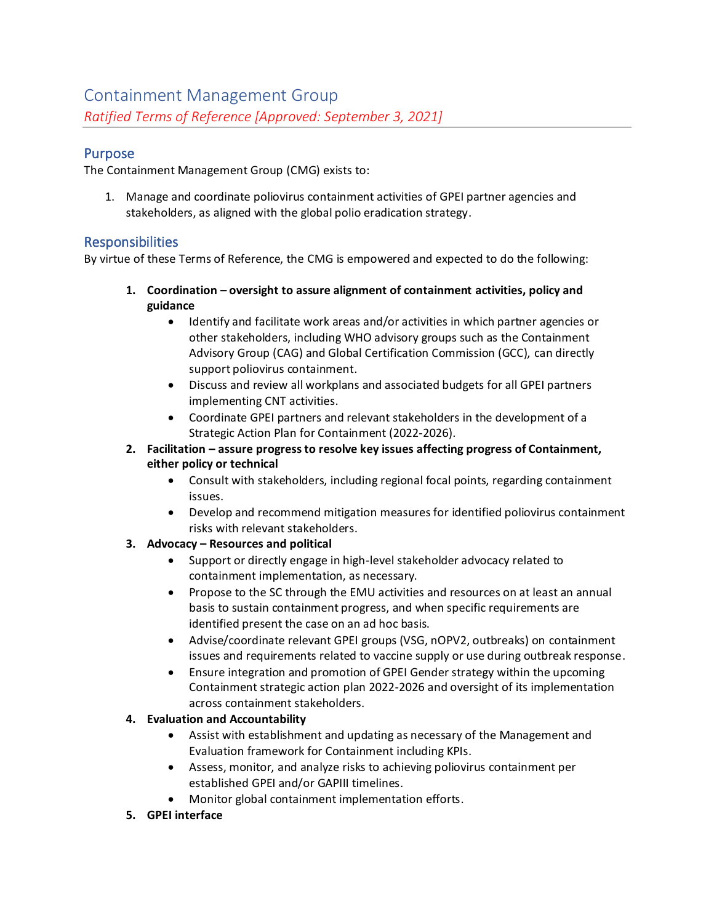# Purpose

The Containment Management Group (CMG) exists to:

1. Manage and coordinate poliovirus containment activities of GPEI partner agencies and stakeholders, as aligned with the global polio eradication strategy.

# **Responsibilities**

By virtue of these Terms of Reference, the CMG is empowered and expected to do the following:

- **1. Coordination – oversight to assure alignment of containment activities, policy and guidance**
	- Identify and facilitate work areas and/or activities in which partner agencies or other stakeholders, including WHO advisory groups such as the Containment Advisory Group (CAG) and Global Certification Commission (GCC), can directly support poliovirus containment.
	- Discuss and review all workplans and associated budgets for all GPEI partners implementing CNT activities.
	- Coordinate GPEI partners and relevant stakeholders in the development of a Strategic Action Plan for Containment (2022-2026).
- **2. Facilitation – assure progress to resolve key issues affecting progress of Containment, either policy or technical**
	- Consult with stakeholders, including regional focal points, regarding containment issues.
	- Develop and recommend mitigation measures for identified poliovirus containment risks with relevant stakeholders.
- **3. Advocacy – Resources and political**
	- Support or directly engage in high-level stakeholder advocacy related to containment implementation, as necessary.
	- Propose to the SC through the EMU activities and resources on at least an annual basis to sustain containment progress, and when specific requirements are identified present the case on an ad hoc basis.
	- Advise/coordinate relevant GPEI groups (VSG, nOPV2, outbreaks) on containment issues and requirements related to vaccine supply or use during outbreak response.
	- Ensure integration and promotion of GPEI Gender strategy within the upcoming Containment strategic action plan 2022-2026 and oversight of its implementation across containment stakeholders.

## **4. Evaluation and Accountability**

- Assist with establishment and updating as necessary of the Management and Evaluation framework for Containment including KPIs.
- Assess, monitor, and analyze risks to achieving poliovirus containment per established GPEI and/or GAPIII timelines.
- Monitor global containment implementation efforts.
- **5. GPEI interface**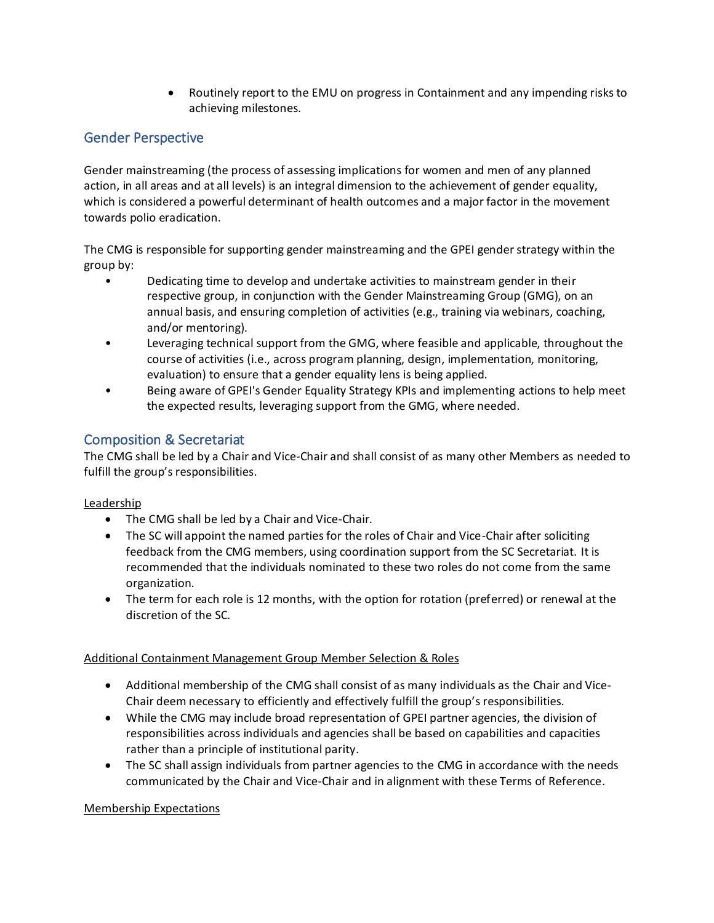• Routinely report to the EMU on progress in Containment and any impending risks to achieving milestones.

# Gender Perspective

Gender mainstreaming (the process of assessing implications for women and men of any planned action, in all areas and at all levels) is an integral dimension to the achievement of gender equality, which is considered a powerful determinant of health outcomes and a major factor in the movement towards polio eradication.

The CMG is responsible for supporting gender mainstreaming and the GPEI gender strategy within the group by:

- Dedicating time to develop and undertake activities to mainstream gender in their respective group, in conjunction with the Gender Mainstreaming Group (GMG), on an annual basis, and ensuring completion of activities (e.g., training via webinars, coaching, and/or mentoring).
- Leveraging technical support from the GMG, where feasible and applicable, throughout the course of activities (i.e., across program planning, design, implementation, monitoring, evaluation) to ensure that a gender equality lens is being applied.
- Being aware of GPEI's Gender Equality Strategy KPIs and implementing actions to help meet the expected results, leveraging support from the GMG, where needed.

# Composition & Secretariat

The CMG shall be led by a Chair and Vice-Chair and shall consist of as many other Members as needed to fulfill the group's responsibilities.

## Leadership

- The CMG shall be led by a Chair and Vice-Chair.
- The SC will appoint the named parties for the roles of Chair and Vice-Chair after soliciting feedback from the CMG members, using coordination support from the SC Secretariat. It is recommended that the individuals nominated to these two roles do not come from the same organization.
- The term for each role is 12 months, with the option for rotation (preferred) or renewal at the discretion of the SC.

## Additional Containment Management Group Member Selection & Roles

- Additional membership of the CMG shall consist of as many individuals as the Chair and Vice-Chair deem necessary to efficiently and effectively fulfill the group's responsibilities.
- While the CMG may include broad representation of GPEI partner agencies, the division of responsibilities across individuals and agencies shall be based on capabilities and capacities rather than a principle of institutional parity.
- The SC shall assign individuals from partner agencies to the CMG in accordance with the needs communicated by the Chair and Vice-Chair and in alignment with these Terms of Reference.

## Membership Expectations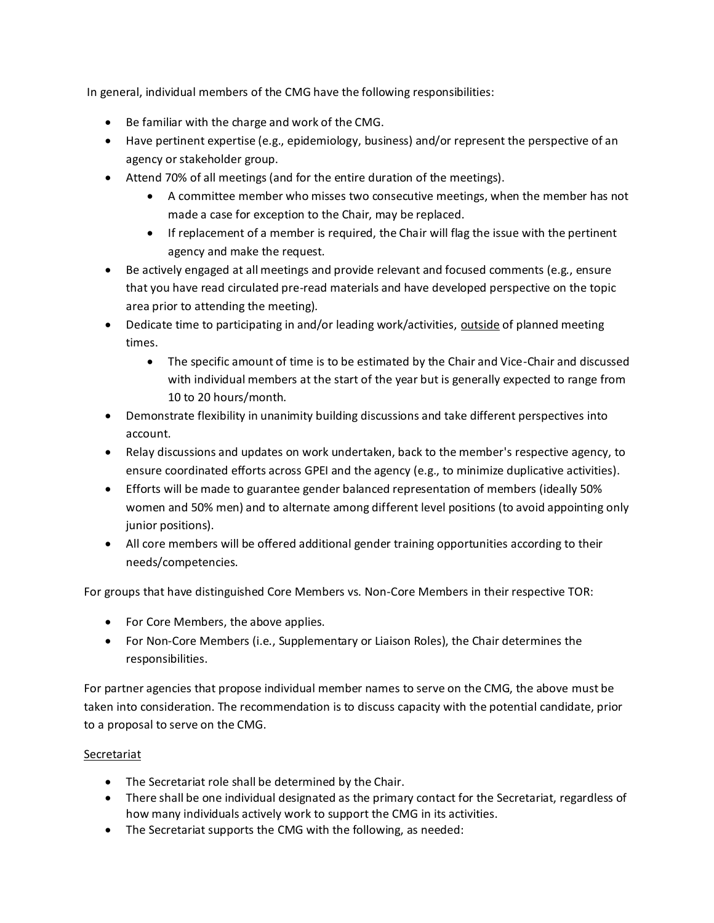In general, individual members of the CMG have the following responsibilities:

- Be familiar with the charge and work of the CMG.
- Have pertinent expertise (e.g., epidemiology, business) and/or represent the perspective of an agency or stakeholder group.
- Attend 70% of all meetings (and for the entire duration of the meetings).
	- A committee member who misses two consecutive meetings, when the member has not made a case for exception to the Chair, may be replaced.
	- If replacement of a member is required, the Chair will flag the issue with the pertinent agency and make the request.
- Be actively engaged at all meetings and provide relevant and focused comments (e.g., ensure that you have read circulated pre-read materials and have developed perspective on the topic area prior to attending the meeting).
- Dedicate time to participating in and/or leading work/activities, outside of planned meeting times.
	- The specific amount of time is to be estimated by the Chair and Vice-Chair and discussed with individual members at the start of the year but is generally expected to range from 10 to 20 hours/month.
- Demonstrate flexibility in unanimity building discussions and take different perspectives into account.
- Relay discussions and updates on work undertaken, back to the member's respective agency, to ensure coordinated efforts across GPEI and the agency (e.g., to minimize duplicative activities).
- Efforts will be made to guarantee gender balanced representation of members (ideally 50% women and 50% men) and to alternate among different level positions (to avoid appointing only junior positions).
- All core members will be offered additional gender training opportunities according to their needs/competencies.

For groups that have distinguished Core Members vs. Non-Core Members in their respective TOR:

- For Core Members, the above applies.
- For Non-Core Members (i.e., Supplementary or Liaison Roles), the Chair determines the responsibilities.

For partner agencies that propose individual member names to serve on the CMG, the above must be taken into consideration. The recommendation is to discuss capacity with the potential candidate, prior to a proposal to serve on the CMG.

## Secretariat

- The Secretariat role shall be determined by the Chair.
- There shall be one individual designated as the primary contact for the Secretariat, regardless of how many individuals actively work to support the CMG in its activities.
- The Secretariat supports the CMG with the following, as needed: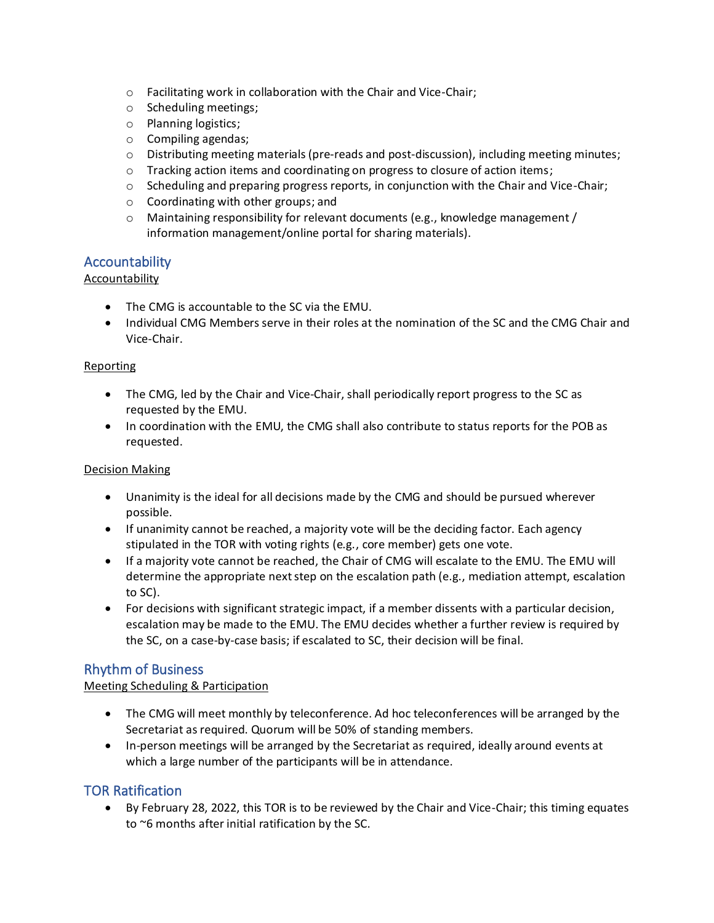- o Facilitating work in collaboration with the Chair and Vice-Chair;
- o Scheduling meetings;
- o Planning logistics;
- o Compiling agendas;
- o Distributing meeting materials (pre-reads and post-discussion), including meeting minutes;
- o Tracking action items and coordinating on progress to closure of action items;
- $\circ$  Scheduling and preparing progress reports, in conjunction with the Chair and Vice-Chair;
- o Coordinating with other groups; and
- $\circ$  Maintaining responsibility for relevant documents (e.g., knowledge management / information management/online portal for sharing materials).

# **Accountability**

#### **Accountability**

- The CMG is accountable to the SC via the EMU.
- Individual CMG Members serve in their roles at the nomination of the SC and the CMG Chair and Vice-Chair.

#### Reporting

- The CMG, led by the Chair and Vice-Chair, shall periodically report progress to the SC as requested by the EMU.
- In coordination with the EMU, the CMG shall also contribute to status reports for the POB as requested.

#### Decision Making

- Unanimity is the ideal for all decisions made by the CMG and should be pursued wherever possible.
- If unanimity cannot be reached, a majority vote will be the deciding factor. Each agency stipulated in the TOR with voting rights (e.g., core member) gets one vote.
- If a majority vote cannot be reached, the Chair of CMG will escalate to the EMU. The EMU will determine the appropriate next step on the escalation path (e.g., mediation attempt, escalation to SC).
- For decisions with significant strategic impact, if a member dissents with a particular decision, escalation may be made to the EMU. The EMU decides whether a further review is required by the SC, on a case-by-case basis; if escalated to SC, their decision will be final.

## Rhythm of Business

#### Meeting Scheduling & Participation

- The CMG will meet monthly by teleconference. Ad hoc teleconferences will be arranged by the Secretariat as required. Quorum will be 50% of standing members.
- In-person meetings will be arranged by the Secretariat as required, ideally around events at which a large number of the participants will be in attendance.

## TOR Ratification

• By February 28, 2022, this TOR is to be reviewed by the Chair and Vice-Chair; this timing equates to ~6 months after initial ratification by the SC.